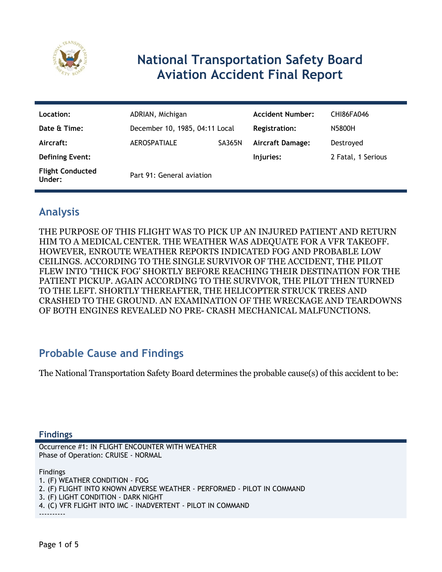

# **National Transportation Safety Board Aviation Accident Final Report**

| Location:                         | ADRIAN, Michigan               |               | <b>Accident Number:</b> | <b>CHI86FA046</b>  |
|-----------------------------------|--------------------------------|---------------|-------------------------|--------------------|
| Date & Time:                      | December 10, 1985, 04:11 Local |               | <b>Registration:</b>    | N5800H             |
| Aircraft:                         | <b>AEROSPATIALE</b>            | <b>SA365N</b> | <b>Aircraft Damage:</b> | Destroyed          |
| <b>Defining Event:</b>            |                                |               | Injuries:               | 2 Fatal, 1 Serious |
| <b>Flight Conducted</b><br>Under: | Part 91: General aviation      |               |                         |                    |

## **Analysis**

THE PURPOSE OF THIS FLIGHT WAS TO PICK UP AN INJURED PATIENT AND RETURN HIM TO A MEDICAL CENTER. THE WEATHER WAS ADEQUATE FOR A VFR TAKEOFF. HOWEVER, ENROUTE WEATHER REPORTS INDICATED FOG AND PROBABLE LOW CEILINGS. ACCORDING TO THE SINGLE SURVIVOR OF THE ACCIDENT, THE PILOT FLEW INTO 'THICK FOG' SHORTLY BEFORE REACHING THEIR DESTINATION FOR THE PATIENT PICKUP. AGAIN ACCORDING TO THE SURVIVOR, THE PILOT THEN TURNED TO THE LEFT. SHORTLY THEREAFTER, THE HELICOPTER STRUCK TREES AND CRASHED TO THE GROUND. AN EXAMINATION OF THE WRECKAGE AND TEARDOWNS OF BOTH ENGINES REVEALED NO PRE- CRASH MECHANICAL MALFUNCTIONS.

## **Probable Cause and Findings**

The National Transportation Safety Board determines the probable cause(s) of this accident to be:

#### **Findings**

Occurrence #1: IN FLIGHT ENCOUNTER WITH WEATHER Phase of Operation: CRUISE - NORMAL

Findings

1. (F) WEATHER CONDITION - FOG 2. (F) FLIGHT INTO KNOWN ADVERSE WEATHER - PERFORMED - PILOT IN COMMAND 3. (F) LIGHT CONDITION - DARK NIGHT 4. (C) VFR FLIGHT INTO IMC - INADVERTENT - PILOT IN COMMAND ----------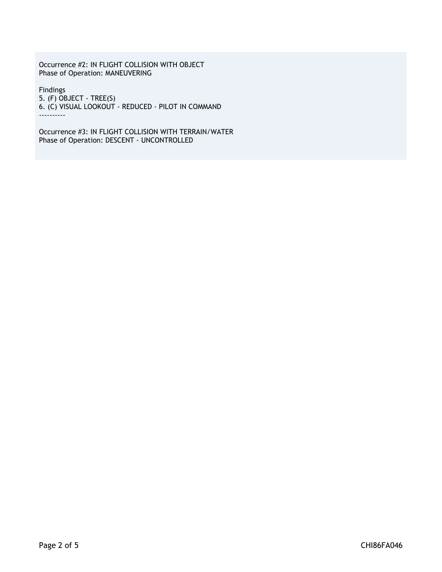Occurrence #2: IN FLIGHT COLLISION WITH OBJECT Phase of Operation: MANEUVERING

Findings 5. (F) OBJECT - TREE(S) 6. (C) VISUAL LOOKOUT - REDUCED - PILOT IN COMMAND ----------

Occurrence #3: IN FLIGHT COLLISION WITH TERRAIN/WATER Phase of Operation: DESCENT - UNCONTROLLED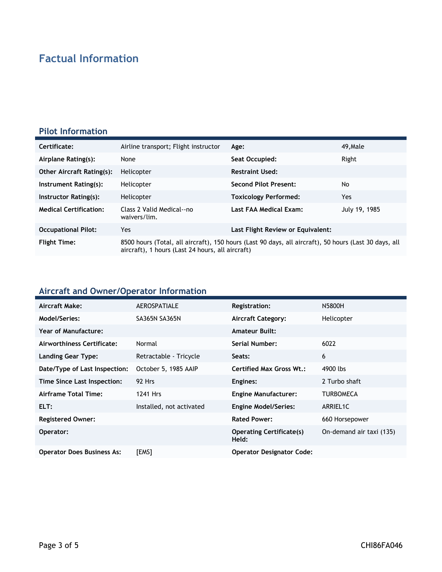# **Factual Information**

#### **Pilot Information**

| Certificate:                     | Airline transport; Flight instructor                                                                                                                      | Age:                              | 49, Male      |
|----------------------------------|-----------------------------------------------------------------------------------------------------------------------------------------------------------|-----------------------------------|---------------|
| Airplane Rating(s):              | None                                                                                                                                                      | Seat Occupied:                    | Right         |
| <b>Other Aircraft Rating(s):</b> | Helicopter                                                                                                                                                | <b>Restraint Used:</b>            |               |
| Instrument Rating(s):            | Helicopter                                                                                                                                                | <b>Second Pilot Present:</b>      | No            |
| Instructor Rating(s):            | Helicopter                                                                                                                                                | <b>Toxicology Performed:</b>      | Yes.          |
| <b>Medical Certification:</b>    | Class 2 Valid Medical--no<br>waivers/lim.                                                                                                                 | Last FAA Medical Exam:            | July 19, 1985 |
| <b>Occupational Pilot:</b>       | Yes                                                                                                                                                       | Last Flight Review or Equivalent: |               |
| <b>Flight Time:</b>              | 8500 hours (Total, all aircraft), 150 hours (Last 90 days, all aircraft), 50 hours (Last 30 days, all<br>aircraft), 1 hours (Last 24 hours, all aircraft) |                                   |               |

### **Aircraft and Owner/Operator Information**

| Aircraft Make:                    | <b>AEROSPATIALE</b>      | <b>Registration:</b>                     | N5800H                   |
|-----------------------------------|--------------------------|------------------------------------------|--------------------------|
| Model/Series:                     | <b>SA365N SA365N</b>     | <b>Aircraft Category:</b>                | Helicopter               |
| Year of Manufacture:              |                          | <b>Amateur Built:</b>                    |                          |
| Airworthiness Certificate:        | Normal                   | <b>Serial Number:</b>                    | 6022                     |
| Landing Gear Type:                | Retractable - Tricycle   | Seats:                                   | 6                        |
| Date/Type of Last Inspection:     | October 5, 1985 AAIP     | Certified Max Gross Wt.:                 | 4900 lbs                 |
| Time Since Last Inspection:       | 92 Hrs                   | Engines:                                 | 2 Turbo shaft            |
| Airframe Total Time:              | 1241 Hrs                 | <b>Engine Manufacturer:</b>              | TURBOMECA                |
| ELT:                              | Installed, not activated | <b>Engine Model/Series:</b>              | ARRIEL1C                 |
| <b>Registered Owner:</b>          |                          | <b>Rated Power:</b>                      | 660 Horsepower           |
| Operator:                         |                          | <b>Operating Certificate(s)</b><br>Held: | On-demand air taxi (135) |
| <b>Operator Does Business As:</b> | [EMS]                    | <b>Operator Designator Code:</b>         |                          |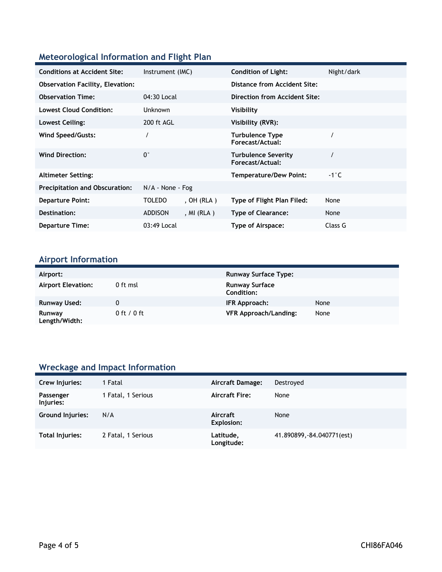### **Meteorological Information and Flight Plan**

| <b>Conditions at Accident Site:</b>     | Instrument (IMC)   |              | <b>Condition of Light:</b>                     | Night/dark    |
|-----------------------------------------|--------------------|--------------|------------------------------------------------|---------------|
| <b>Observation Facility, Elevation:</b> |                    |              | <b>Distance from Accident Site:</b>            |               |
| <b>Observation Time:</b>                | 04:30 Local        |              | Direction from Accident Site:                  |               |
| <b>Lowest Cloud Condition:</b>          | <b>Unknown</b>     |              | Visibility                                     |               |
| Lowest Ceiling:                         | 200 ft AGL         |              | Visibility (RVR):                              |               |
| Wind Speed/Gusts:                       |                    |              | <b>Turbulence Type</b><br>Forecast/Actual:     |               |
| <b>Wind Direction:</b>                  | $0^{\circ}$        |              | <b>Turbulence Severity</b><br>Forecast/Actual: |               |
| <b>Altimeter Setting:</b>               |                    |              | <b>Temperature/Dew Point:</b>                  | $-1\degree$ C |
| <b>Precipitation and Obscuration:</b>   | $N/A$ - None - Fog |              |                                                |               |
| <b>Departure Point:</b>                 | <b>TOLEDO</b>      | , $OH (RLA)$ | Type of Flight Plan Filed:                     | None          |
| Destination:                            | <b>ADDISON</b>     | , MI (RLA )  | <b>Type of Clearance:</b>                      | None          |
| <b>Departure Time:</b>                  | 03:49 Local        |              | Type of Airspace:                              | Class G       |

# **Airport Information**

| Airport:                  |                 | <b>Runway Surface Type:</b>                |      |
|---------------------------|-----------------|--------------------------------------------|------|
| <b>Airport Elevation:</b> | 0 ft msl        | <b>Runway Surface</b><br><b>Condition:</b> |      |
| Runway Used:              |                 | IFR Approach:                              | None |
| Runway<br>Length/Width:   | $0$ ft / $0$ ft | <b>VFR Approach/Landing:</b>               | None |

# **Wreckage and Impact Information**

| Crew Injuries:          | 1 Fatal            | Aircraft Damage:        | Destroved                  |
|-------------------------|--------------------|-------------------------|----------------------------|
| Passenger<br>Injuries:  | 1 Fatal, 1 Serious | <b>Aircraft Fire:</b>   | None                       |
| <b>Ground Injuries:</b> | N/A                | Aircraft<br>Explosion:  | None                       |
| Total Injuries:         | 2 Fatal, 1 Serious | Latitude,<br>Longitude: | 41.890899, -84.040771(est) |